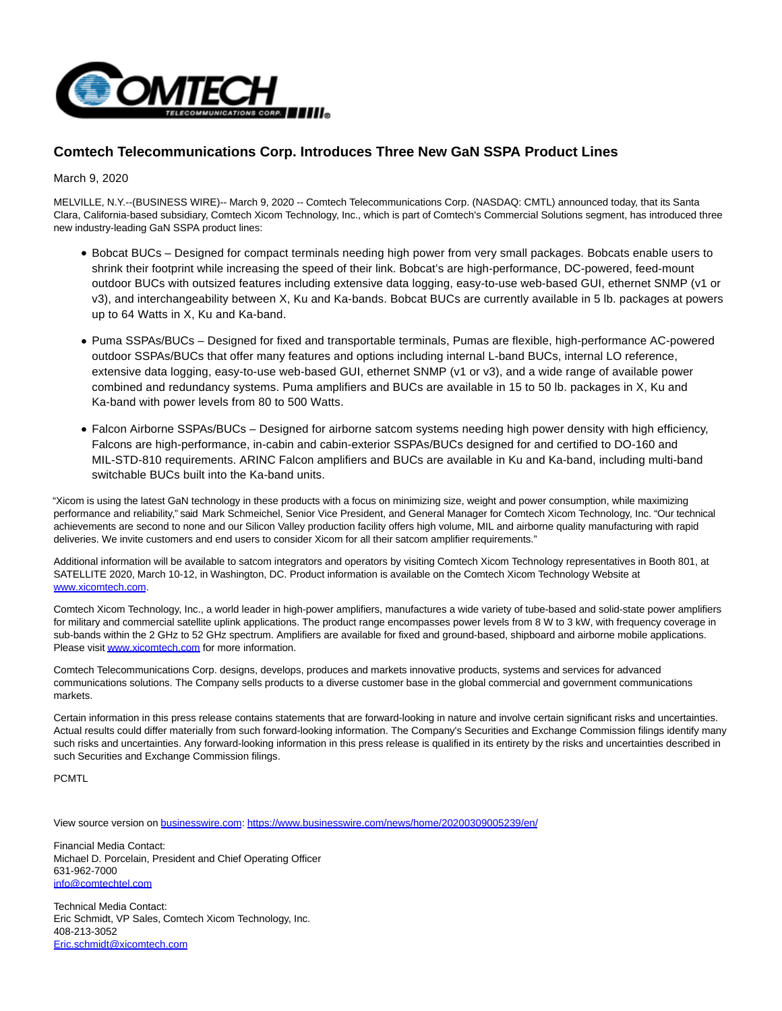

## **Comtech Telecommunications Corp. Introduces Three New GaN SSPA Product Lines**

March 9, 2020

MELVILLE, N.Y.--(BUSINESS WIRE)-- March 9, 2020 -- Comtech Telecommunications Corp. (NASDAQ: CMTL) announced today, that its Santa Clara, California-based subsidiary, Comtech Xicom Technology, Inc., which is part of Comtech's Commercial Solutions segment, has introduced three new industry-leading GaN SSPA product lines:

- Bobcat BUCs Designed for compact terminals needing high power from very small packages. Bobcats enable users to shrink their footprint while increasing the speed of their link. Bobcat's are high-performance, DC-powered, feed-mount outdoor BUCs with outsized features including extensive data logging, easy-to-use web-based GUI, ethernet SNMP (v1 or v3), and interchangeability between X, Ku and Ka-bands. Bobcat BUCs are currently available in 5 lb. packages at powers up to 64 Watts in X, Ku and Ka-band.
- Puma SSPAs/BUCs Designed for fixed and transportable terminals, Pumas are flexible, high-performance AC-powered outdoor SSPAs/BUCs that offer many features and options including internal L-band BUCs, internal LO reference, extensive data logging, easy-to-use web-based GUI, ethernet SNMP (v1 or v3), and a wide range of available power combined and redundancy systems. Puma amplifiers and BUCs are available in 15 to 50 lb. packages in X, Ku and Ka-band with power levels from 80 to 500 Watts.
- Falcon Airborne SSPAs/BUCs Designed for airborne satcom systems needing high power density with high efficiency, Falcons are high-performance, in-cabin and cabin-exterior SSPAs/BUCs designed for and certified to DO-160 and MIL-STD-810 requirements. ARINC Falcon amplifiers and BUCs are available in Ku and Ka-band, including multi-band switchable BUCs built into the Ka-band units.

"Xicom is using the latest GaN technology in these products with a focus on minimizing size, weight and power consumption, while maximizing performance and reliability," said Mark Schmeichel, Senior Vice President, and General Manager for Comtech Xicom Technology, Inc. "Our technical achievements are second to none and our Silicon Valley production facility offers high volume, MIL and airborne quality manufacturing with rapid deliveries. We invite customers and end users to consider Xicom for all their satcom amplifier requirements."

Additional information will be available to satcom integrators and operators by visiting Comtech Xicom Technology representatives in Booth 801, at SATELLITE 2020, March 10-12, in Washington, DC. Product information is available on the Comtech Xicom Technology Website at [www.xicomtech.com.](https://cts.businesswire.com/ct/CT?id=smartlink&url=http%3A%2F%2Fwww.xicomtech.com&esheet=52185404&newsitemid=20200309005239&lan=en-US&anchor=www.xicomtech.com&index=1&md5=ad5838cc82b82a34862fc62ceeb200c4)

Comtech Xicom Technology, Inc., a world leader in high-power amplifiers, manufactures a wide variety of tube-based and solid-state power amplifiers for military and commercial satellite uplink applications. The product range encompasses power levels from 8 W to 3 kW, with frequency coverage in sub-bands within the 2 GHz to 52 GHz spectrum. Amplifiers are available for fixed and ground-based, shipboard and airborne mobile applications. Please visi[t www.xicomtech.com f](https://cts.businesswire.com/ct/CT?id=smartlink&url=http%3A%2F%2Fwww.xicomtech.com&esheet=52185404&newsitemid=20200309005239&lan=en-US&anchor=www.xicomtech.com&index=2&md5=e391795c089280f58a25d0df94f5aa42)or more information.

Comtech Telecommunications Corp. designs, develops, produces and markets innovative products, systems and services for advanced communications solutions. The Company sells products to a diverse customer base in the global commercial and government communications markets.

Certain information in this press release contains statements that are forward-looking in nature and involve certain significant risks and uncertainties. Actual results could differ materially from such forward-looking information. The Company's Securities and Exchange Commission filings identify many such risks and uncertainties. Any forward-looking information in this press release is qualified in its entirety by the risks and uncertainties described in such Securities and Exchange Commission filings.

PCMTL

View source version on [businesswire.com:](http://businesswire.com/)<https://www.businesswire.com/news/home/20200309005239/en/>

Financial Media Contact: Michael D. Porcelain, President and Chief Operating Officer 631-962-7000 [info@comtechtel.com](mailto:info@comtechtel.com)

Technical Media Contact: Eric Schmidt, VP Sales, Comtech Xicom Technology, Inc. 408-213-3052 [Eric.schmidt@xicomtech.com](mailto:Eric.schmidt@xicomtech.com)